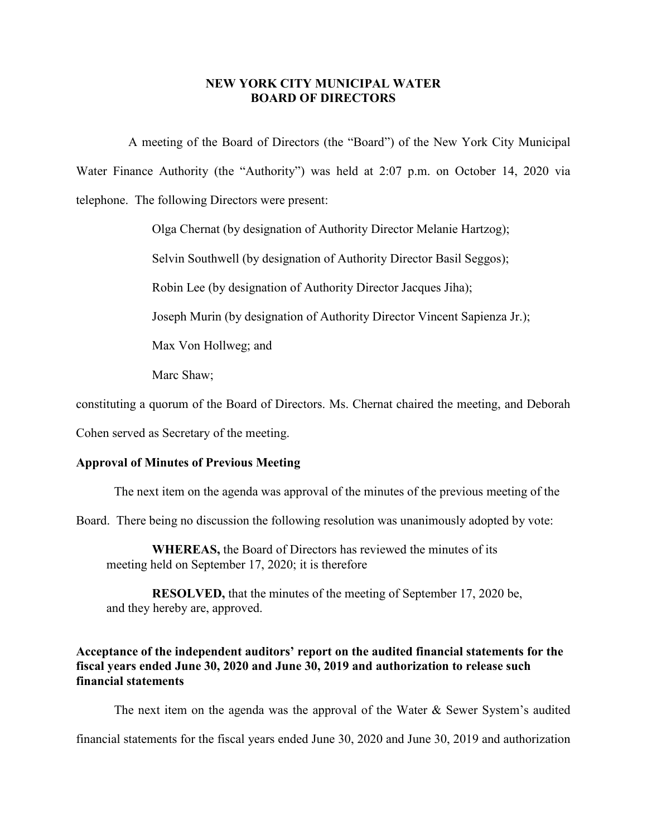## **NEW YORK CITY MUNICIPAL WATER BOARD OF DIRECTORS**

A meeting of the Board of Directors (the "Board") of the New York City Municipal Water Finance Authority (the "Authority") was held at 2:07 p.m. on October 14, 2020 via telephone. The following Directors were present:

Olga Chernat (by designation of Authority Director Melanie Hartzog);

Selvin Southwell (by designation of Authority Director Basil Seggos);

Robin Lee (by designation of Authority Director Jacques Jiha);

Joseph Murin (by designation of Authority Director Vincent Sapienza Jr.);

Max Von Hollweg; and

Marc Shaw;

constituting a quorum of the Board of Directors. Ms. Chernat chaired the meeting, and Deborah

Cohen served as Secretary of the meeting.

## **Approval of Minutes of Previous Meeting**

The next item on the agenda was approval of the minutes of the previous meeting of the

Board. There being no discussion the following resolution was unanimously adopted by vote:

**WHEREAS,** the Board of Directors has reviewed the minutes of its meeting held on September 17, 2020; it is therefore

**RESOLVED,** that the minutes of the meeting of September 17, 2020 be, and they hereby are, approved.

# **Acceptance of the independent auditors' report on the audited financial statements for the fiscal years ended June 30, 2020 and June 30, 2019 and authorization to release such financial statements**

The next item on the agenda was the approval of the Water & Sewer System's audited

financial statements for the fiscal years ended June 30, 2020 and June 30, 2019 and authorization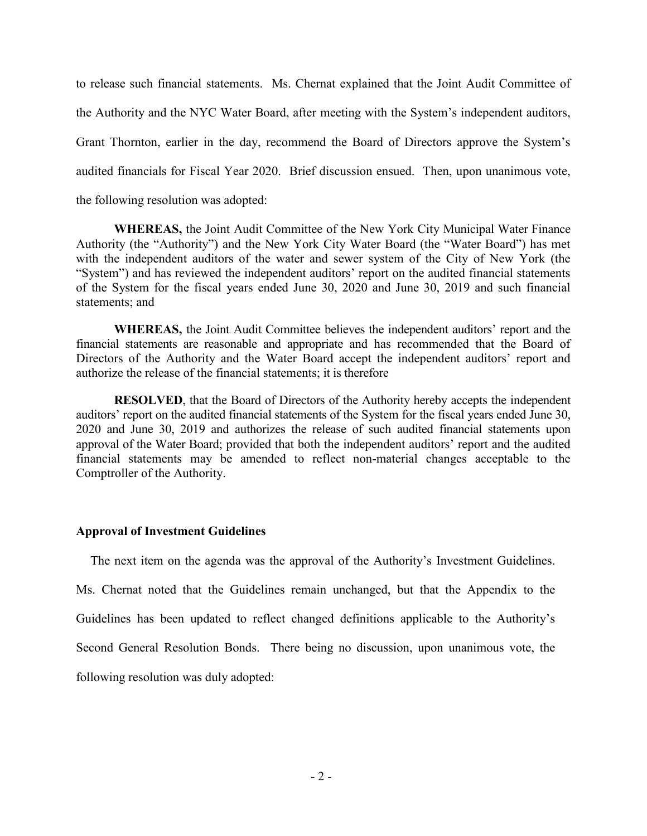to release such financial statements. Ms. Chernat explained that the Joint Audit Committee of the Authority and the NYC Water Board, after meeting with the System's independent auditors, Grant Thornton, earlier in the day, recommend the Board of Directors approve the System's audited financials for Fiscal Year 2020. Brief discussion ensued. Then, upon unanimous vote, the following resolution was adopted:

**WHEREAS,** the Joint Audit Committee of the New York City Municipal Water Finance Authority (the "Authority") and the New York City Water Board (the "Water Board") has met with the independent auditors of the water and sewer system of the City of New York (the "System") and has reviewed the independent auditors' report on the audited financial statements of the System for the fiscal years ended June 30, 2020 and June 30, 2019 and such financial statements; and

**WHEREAS,** the Joint Audit Committee believes the independent auditors' report and the financial statements are reasonable and appropriate and has recommended that the Board of Directors of the Authority and the Water Board accept the independent auditors' report and authorize the release of the financial statements; it is therefore

**RESOLVED**, that the Board of Directors of the Authority hereby accepts the independent auditors' report on the audited financial statements of the System for the fiscal years ended June 30, 2020 and June 30, 2019 and authorizes the release of such audited financial statements upon approval of the Water Board; provided that both the independent auditors' report and the audited financial statements may be amended to reflect non-material changes acceptable to the Comptroller of the Authority.

## **Approval of Investment Guidelines**

The next item on the agenda was the approval of the Authority's Investment Guidelines. Ms. Chernat noted that the Guidelines remain unchanged, but that the Appendix to the Guidelines has been updated to reflect changed definitions applicable to the Authority's Second General Resolution Bonds. There being no discussion, upon unanimous vote, the following resolution was duly adopted: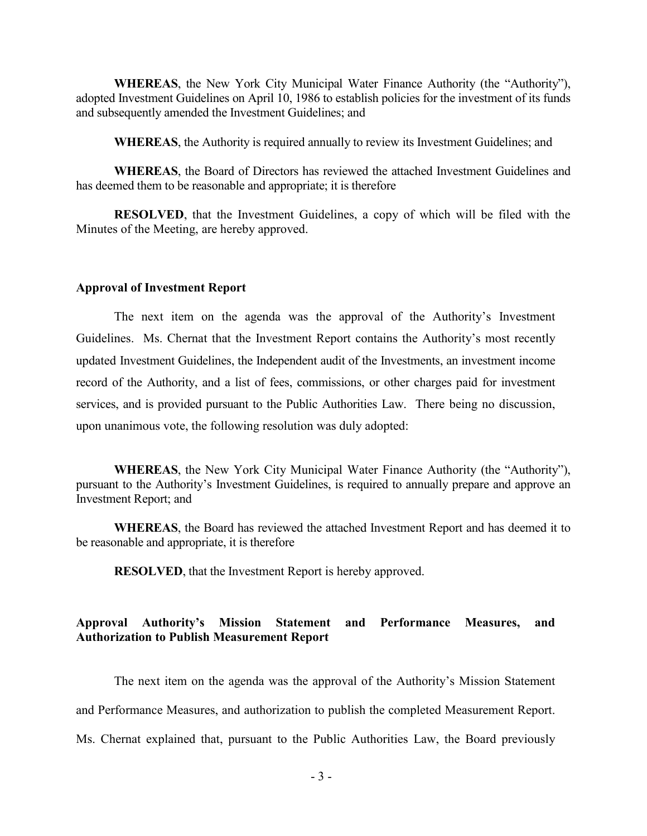**WHEREAS**, the New York City Municipal Water Finance Authority (the "Authority"), adopted Investment Guidelines on April 10, 1986 to establish policies for the investment of its funds and subsequently amended the Investment Guidelines; and

**WHEREAS**, the Authority is required annually to review its Investment Guidelines; and

**WHEREAS**, the Board of Directors has reviewed the attached Investment Guidelines and has deemed them to be reasonable and appropriate; it is therefore

**RESOLVED**, that the Investment Guidelines, a copy of which will be filed with the Minutes of the Meeting, are hereby approved.

#### **Approval of Investment Report**

The next item on the agenda was the approval of the Authority's Investment Guidelines. Ms. Chernat that the Investment Report contains the Authority's most recently updated Investment Guidelines, the Independent audit of the Investments, an investment income record of the Authority, and a list of fees, commissions, or other charges paid for investment services, and is provided pursuant to the Public Authorities Law. There being no discussion, upon unanimous vote, the following resolution was duly adopted:

**WHEREAS**, the New York City Municipal Water Finance Authority (the "Authority"), pursuant to the Authority's Investment Guidelines, is required to annually prepare and approve an Investment Report; and

**WHEREAS**, the Board has reviewed the attached Investment Report and has deemed it to be reasonable and appropriate, it is therefore

**RESOLVED**, that the Investment Report is hereby approved.

# **Approval Authority's Mission Statement and Performance Measures, and Authorization to Publish Measurement Report**

The next item on the agenda was the approval of the Authority's Mission Statement and Performance Measures, and authorization to publish the completed Measurement Report. Ms. Chernat explained that, pursuant to the Public Authorities Law, the Board previously